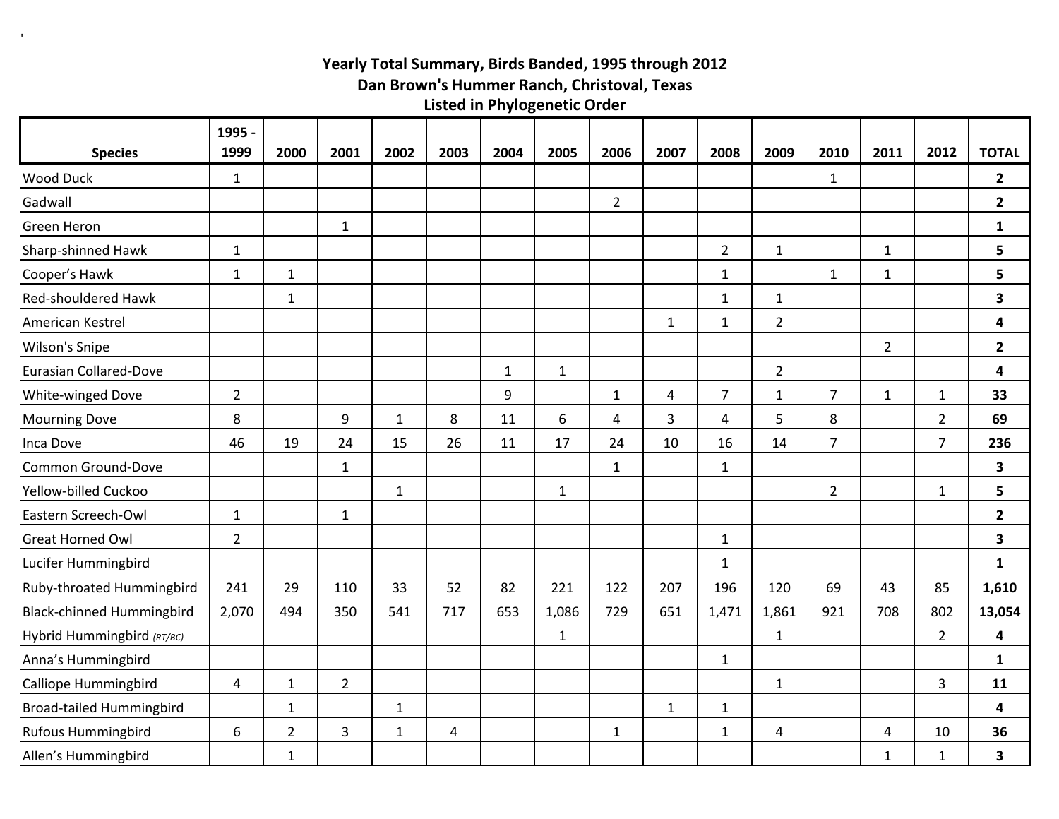## **Yearly Total Summary, Birds Banded, 1995 through 2012 Listed in Phylogenetic Order Dan Brown's Hummer Ranch, Christoval, Texas**

 $\mathbf{r}$ 

|                                  | 1995 -         |                |                |              |      |              |              |                |              |                         |                |                |                |                |                         |
|----------------------------------|----------------|----------------|----------------|--------------|------|--------------|--------------|----------------|--------------|-------------------------|----------------|----------------|----------------|----------------|-------------------------|
| <b>Species</b>                   | 1999           | 2000           | 2001           | 2002         | 2003 | 2004         | 2005         | 2006           | 2007         | 2008                    | 2009           | 2010           | 2011           | 2012           | <b>TOTAL</b>            |
| <b>Wood Duck</b>                 | $\mathbf{1}$   |                |                |              |      |              |              |                |              |                         |                | $\mathbf{1}$   |                |                | $\overline{2}$          |
| Gadwall                          |                |                |                |              |      |              |              | $\overline{2}$ |              |                         |                |                |                |                | $\overline{2}$          |
| <b>Green Heron</b>               |                |                | $\mathbf{1}$   |              |      |              |              |                |              |                         |                |                |                |                | $\mathbf{1}$            |
| Sharp-shinned Hawk               | $\mathbf{1}$   |                |                |              |      |              |              |                |              | $\overline{2}$          | $\mathbf{1}$   |                | $\mathbf{1}$   |                | 5                       |
| Cooper's Hawk                    | $\mathbf 1$    | $\mathbf{1}$   |                |              |      |              |              |                |              | $\mathbf{1}$            |                | $\mathbf{1}$   | $\mathbf 1$    |                | 5                       |
| <b>Red-shouldered Hawk</b>       |                | 1              |                |              |      |              |              |                |              | $\mathbf{1}$            | $\mathbf{1}$   |                |                |                | $\overline{\mathbf{3}}$ |
| American Kestrel                 |                |                |                |              |      |              |              |                | $\mathbf{1}$ | $\mathbf{1}$            | $\overline{2}$ |                |                |                | 4                       |
| Wilson's Snipe                   |                |                |                |              |      |              |              |                |              |                         |                |                | $\overline{2}$ |                | $\overline{2}$          |
| Eurasian Collared-Dove           |                |                |                |              |      | $\mathbf{1}$ | $\mathbf{1}$ |                |              |                         | $\overline{2}$ |                |                |                | 4                       |
| White-winged Dove                | $\overline{2}$ |                |                |              |      | 9            |              | $\mathbf{1}$   | 4            | $\overline{7}$          | $\mathbf{1}$   | $\overline{7}$ | $\mathbf{1}$   | $\mathbf{1}$   | 33                      |
| <b>Mourning Dove</b>             | 8              |                | 9              | $\mathbf{1}$ | 8    | 11           | 6            | 4              | 3            | $\overline{\mathbf{4}}$ | 5              | 8              |                | $\overline{2}$ | 69                      |
| Inca Dove                        | 46             | 19             | 24             | 15           | 26   | 11           | 17           | 24             | 10           | 16                      | 14             | $\overline{7}$ |                | $\overline{7}$ | 236                     |
| <b>Common Ground-Dove</b>        |                |                | $\mathbf{1}$   |              |      |              |              | $\mathbf{1}$   |              | $\mathbf{1}$            |                |                |                |                | 3                       |
| Yellow-billed Cuckoo             |                |                |                | $\mathbf{1}$ |      |              | $\mathbf{1}$ |                |              |                         |                | $\overline{2}$ |                | $\mathbf{1}$   | 5                       |
| Eastern Screech-Owl              | $\mathbf{1}$   |                | $\mathbf{1}$   |              |      |              |              |                |              |                         |                |                |                |                | $\mathbf{2}$            |
| <b>Great Horned Owl</b>          | $\overline{2}$ |                |                |              |      |              |              |                |              | $\mathbf{1}$            |                |                |                |                | $\overline{\mathbf{3}}$ |
| Lucifer Hummingbird              |                |                |                |              |      |              |              |                |              | $\mathbf{1}$            |                |                |                |                | $\mathbf{1}$            |
| Ruby-throated Hummingbird        | 241            | 29             | 110            | 33           | 52   | 82           | 221          | 122            | 207          | 196                     | 120            | 69             | 43             | 85             | 1,610                   |
| <b>Black-chinned Hummingbird</b> | 2,070          | 494            | 350            | 541          | 717  | 653          | 1,086        | 729            | 651          | 1,471                   | 1,861          | 921            | 708            | 802            | 13,054                  |
| Hybrid Hummingbird (RT/BC)       |                |                |                |              |      |              | $\mathbf{1}$ |                |              |                         | $\mathbf{1}$   |                |                | $\overline{2}$ | $\overline{\mathbf{4}}$ |
| Anna's Hummingbird               |                |                |                |              |      |              |              |                |              | $\mathbf{1}$            |                |                |                |                | $\mathbf{1}$            |
| <b>Calliope Hummingbird</b>      | $\overline{4}$ | $\mathbf{1}$   | $\overline{2}$ |              |      |              |              |                |              |                         | $\mathbf{1}$   |                |                | 3              | 11                      |
| <b>Broad-tailed Hummingbird</b>  |                | $\mathbf{1}$   |                | $\mathbf{1}$ |      |              |              |                | $\mathbf{1}$ | $\mathbf{1}$            |                |                |                |                | 4                       |
| <b>Rufous Hummingbird</b>        | 6              | $\overline{2}$ | $\overline{3}$ | $\mathbf{1}$ | 4    |              |              | $\mathbf{1}$   |              | $\mathbf{1}$            | 4              |                | $\overline{4}$ | 10             | 36                      |
| Allen's Hummingbird              |                | $\mathbf{1}$   |                |              |      |              |              |                |              |                         |                |                | $\mathbf{1}$   | $\mathbf{1}$   | $\mathbf{3}$            |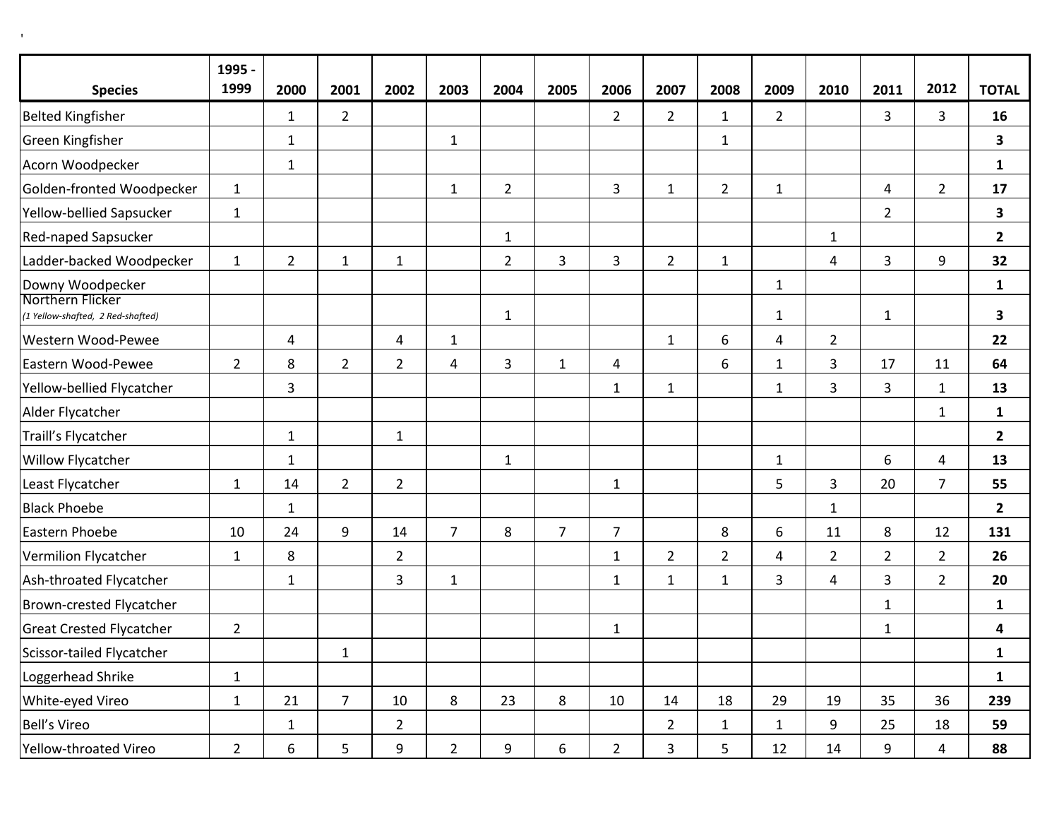|                                                       | 1995 -<br>1999 |                |                |                |                |                |                |                |                |                |              |                |                |                |                |
|-------------------------------------------------------|----------------|----------------|----------------|----------------|----------------|----------------|----------------|----------------|----------------|----------------|--------------|----------------|----------------|----------------|----------------|
| <b>Species</b>                                        |                | 2000           | 2001           | 2002           | 2003           | 2004           | 2005           | 2006           | 2007           | 2008           | 2009         | 2010           | 2011           | 2012           | <b>TOTAL</b>   |
| <b>Belted Kingfisher</b>                              |                | $\mathbf{1}$   | $\overline{2}$ |                |                |                |                | $\overline{2}$ | $2^{\circ}$    | $\mathbf{1}$   | $2^{\circ}$  |                | $\overline{3}$ | 3              | 16             |
| Green Kingfisher                                      |                | $\mathbf{1}$   |                |                | $\mathbf{1}$   |                |                |                |                | $\mathbf{1}$   |              |                |                |                | 3              |
| Acorn Woodpecker                                      |                | $\mathbf{1}$   |                |                |                |                |                |                |                |                |              |                |                |                | $\mathbf{1}$   |
| Golden-fronted Woodpecker                             | $\mathbf{1}$   |                |                |                | $\mathbf{1}$   | $\overline{2}$ |                | $\overline{3}$ | $\mathbf{1}$   | $\overline{2}$ | $\mathbf{1}$ |                | 4              | $\overline{2}$ | 17             |
| Yellow-bellied Sapsucker                              | $\mathbf{1}$   |                |                |                |                |                |                |                |                |                |              |                | $\overline{2}$ |                | 3              |
| Red-naped Sapsucker                                   |                |                |                |                |                | $\mathbf{1}$   |                |                |                |                |              | $\mathbf{1}$   |                |                | $\overline{2}$ |
| Ladder-backed Woodpecker                              | $\mathbf{1}$   | $\overline{2}$ | $\mathbf{1}$   | $\mathbf{1}$   |                | $\overline{2}$ | $\overline{3}$ | 3              | $\overline{2}$ | $\mathbf{1}$   |              | 4              | 3              | 9              | 32             |
| Downy Woodpecker                                      |                |                |                |                |                |                |                |                |                |                | $\mathbf{1}$ |                |                |                | $\mathbf{1}$   |
| Northern Flicker<br>(1 Yellow-shafted, 2 Red-shafted) |                |                |                |                |                | $\mathbf{1}$   |                |                |                |                | $\mathbf{1}$ |                | $\mathbf{1}$   |                | 3              |
| Western Wood-Pewee                                    |                | 4              |                | 4              | $\mathbf{1}$   |                |                |                | $\mathbf{1}$   | 6              | 4            | $\overline{2}$ |                |                | 22             |
| Eastern Wood-Pewee                                    | $\overline{2}$ | 8              | $\overline{2}$ | $\overline{2}$ | $\overline{4}$ | 3              | $\mathbf{1}$   | 4              |                | 6              | $\mathbf{1}$ | 3              | 17             | 11             | 64             |
| Yellow-bellied Flycatcher                             |                | 3              |                |                |                |                |                | $\mathbf{1}$   | $\mathbf{1}$   |                | $\mathbf{1}$ | 3              | 3              | $\mathbf{1}$   | 13             |
| Alder Flycatcher                                      |                |                |                |                |                |                |                |                |                |                |              |                |                | $\mathbf{1}$   | $\mathbf{1}$   |
| Traill's Flycatcher                                   |                | $\mathbf{1}$   |                | $\mathbf{1}$   |                |                |                |                |                |                |              |                |                |                | $\mathbf{2}$   |
| Willow Flycatcher                                     |                | $\mathbf{1}$   |                |                |                | $\mathbf{1}$   |                |                |                |                | $\mathbf{1}$ |                | 6              | 4              | 13             |
| Least Flycatcher                                      | $\mathbf{1}$   | 14             | $\overline{2}$ | $\overline{2}$ |                |                |                | $\mathbf{1}$   |                |                | 5            | 3              | 20             | $\overline{7}$ | 55             |
| <b>Black Phoebe</b>                                   |                | $\mathbf{1}$   |                |                |                |                |                |                |                |                |              | $\mathbf{1}$   |                |                | $\overline{2}$ |
| Eastern Phoebe                                        | 10             | 24             | 9              | 14             | $\overline{7}$ | 8              | $\overline{7}$ | $\overline{7}$ |                | 8              | 6            | 11             | 8              | 12             | 131            |
| Vermilion Flycatcher                                  | $\mathbf{1}$   | 8              |                | $\overline{2}$ |                |                |                | $\mathbf{1}$   | $\overline{2}$ | $\overline{2}$ | 4            | $\overline{2}$ | $\overline{2}$ | $2^{\circ}$    | 26             |
| Ash-throated Flycatcher                               |                | $\mathbf{1}$   |                | 3              | $\mathbf{1}$   |                |                | $\mathbf{1}$   | $\mathbf{1}$   | $\mathbf{1}$   | 3            | 4              | 3              | $\overline{2}$ | 20             |
| Brown-crested Flycatcher                              |                |                |                |                |                |                |                |                |                |                |              |                | $\mathbf{1}$   |                | $\mathbf{1}$   |
| <b>Great Crested Flycatcher</b>                       | $\overline{2}$ |                |                |                |                |                |                | $\mathbf{1}$   |                |                |              |                | $\mathbf{1}$   |                | 4              |
| Scissor-tailed Flycatcher                             |                |                | $\mathbf{1}$   |                |                |                |                |                |                |                |              |                |                |                | 1              |
| Loggerhead Shrike                                     | $\mathbf{1}$   |                |                |                |                |                |                |                |                |                |              |                |                |                | $\mathbf{1}$   |
| White-eyed Vireo                                      | $\mathbf{1}$   | 21             | 7 <sup>7</sup> | 10             | 8              | 23             | 8              | 10             | 14             | 18             | 29           | 19             | 35             | 36             | 239            |
| Bell's Vireo                                          |                | $\mathbf{1}$   |                | $\overline{2}$ |                |                |                |                | $2^{\circ}$    | $\mathbf{1}$   | $\mathbf{1}$ | 9              | 25             | 18             | 59             |
| Yellow-throated Vireo                                 | $\overline{2}$ | 6              | 5              | 9              | $2^{\circ}$    | 9              | 6              | $\overline{2}$ | $\mathbf{3}$   | 5              | 12           | 14             | 9              | 4              | 88             |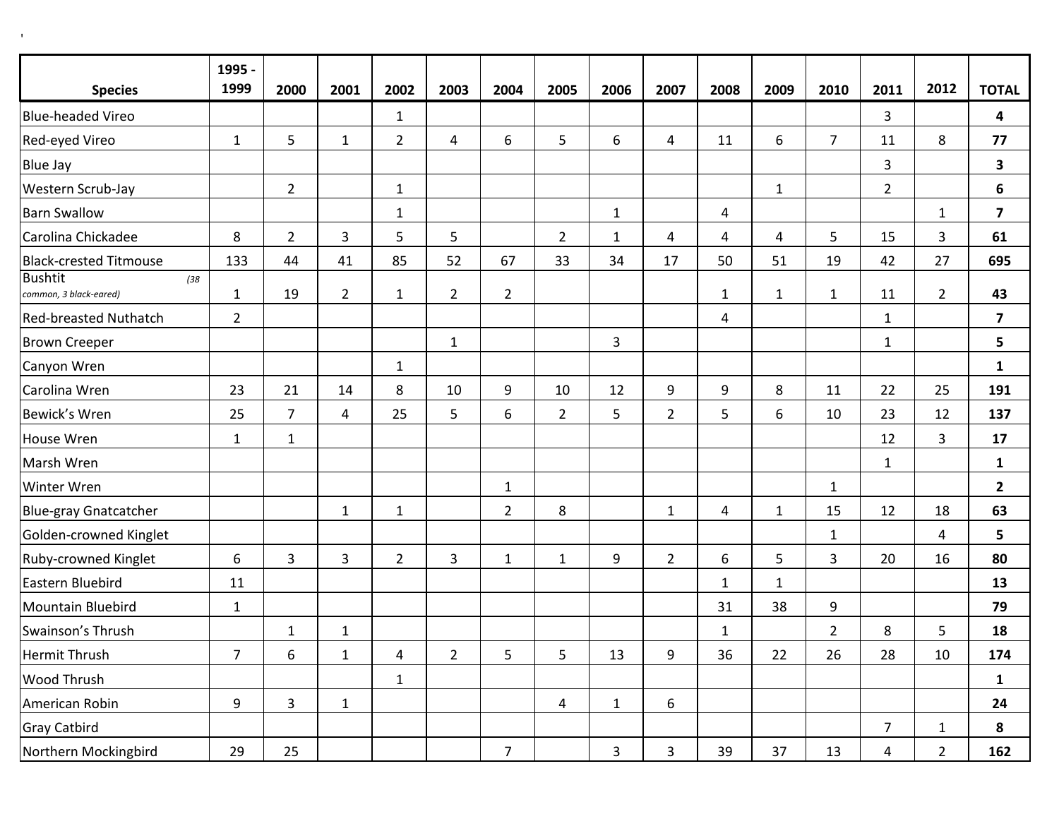|                                                  | 1995 -         |                |                |                |                |                |                |              |                |                |              |                |                |                |                         |
|--------------------------------------------------|----------------|----------------|----------------|----------------|----------------|----------------|----------------|--------------|----------------|----------------|--------------|----------------|----------------|----------------|-------------------------|
| <b>Species</b>                                   | 1999           | 2000           | 2001           | 2002           | 2003           | 2004           | 2005           | 2006         | 2007           | 2008           | 2009         | 2010           | 2011           | 2012           | <b>TOTAL</b>            |
| <b>Blue-headed Vireo</b>                         |                |                |                | $\mathbf{1}$   |                |                |                |              |                |                |              |                | 3              |                | 4                       |
| Red-eyed Vireo                                   | $\mathbf{1}$   | 5              | $\mathbf{1}$   | $\overline{2}$ | $\overline{4}$ | 6              | 5              | 6            | 4              | 11             | 6            | $\overline{7}$ | 11             | 8              | 77                      |
| <b>Blue Jay</b>                                  |                |                |                |                |                |                |                |              |                |                |              |                | 3              |                | 3                       |
| Western Scrub-Jay                                |                | $\overline{2}$ |                | $\mathbf{1}$   |                |                |                |              |                |                | $1\,$        |                | $\overline{2}$ |                | 6                       |
| <b>Barn Swallow</b>                              |                |                |                | $\mathbf{1}$   |                |                |                | $1\,$        |                | 4              |              |                |                | $\mathbf{1}$   | $\overline{\mathbf{z}}$ |
| Carolina Chickadee                               | 8              | $\overline{2}$ | 3              | 5              | 5              |                | $\overline{2}$ | $\mathbf 1$  | 4              | $\overline{4}$ | 4            | 5              | 15             | 3              | 61                      |
| <b>Black-crested Titmouse</b>                    | 133            | 44             | 41             | 85             | 52             | 67             | 33             | 34           | 17             | 50             | 51           | 19             | 42             | 27             | 695                     |
| <b>Bushtit</b><br>(38)<br>common, 3 black-eared) | $\mathbf{1}$   | 19             | $\overline{2}$ | $\mathbf{1}$   | $\overline{2}$ | $\overline{2}$ |                |              |                | $\mathbf{1}$   | $\mathbf{1}$ | $\mathbf{1}$   | 11             | $\overline{2}$ | 43                      |
| <b>Red-breasted Nuthatch</b>                     | $\overline{2}$ |                |                |                |                |                |                |              |                | 4              |              |                | $\mathbf 1$    |                | $\overline{\mathbf{z}}$ |
| <b>Brown Creeper</b>                             |                |                |                |                | $\mathbf{1}$   |                |                | 3            |                |                |              |                | $\mathbf{1}$   |                | 5                       |
| Canyon Wren                                      |                |                |                | $\mathbf{1}$   |                |                |                |              |                |                |              |                |                |                | $\mathbf{1}$            |
| Carolina Wren                                    | 23             | 21             | 14             | 8              | 10             | 9              | 10             | 12           | 9              | 9              | 8            | 11             | 22             | 25             | 191                     |
| Bewick's Wren                                    | 25             | $\overline{7}$ | 4              | 25             | 5              | 6              | $\overline{2}$ | 5            | $\overline{2}$ | 5              | 6            | 10             | 23             | 12             | 137                     |
| House Wren                                       | $\mathbf{1}$   | $\mathbf{1}$   |                |                |                |                |                |              |                |                |              |                | 12             | 3              | 17                      |
| Marsh Wren                                       |                |                |                |                |                |                |                |              |                |                |              |                | 1              |                | $\mathbf{1}$            |
| Winter Wren                                      |                |                |                |                |                | $\mathbf{1}$   |                |              |                |                |              | $\mathbf 1$    |                |                | $\mathbf{2}$            |
| <b>Blue-gray Gnatcatcher</b>                     |                |                | $\mathbf{1}$   | $\mathbf{1}$   |                | $\overline{2}$ | 8              |              | $\mathbf{1}$   | 4              | $\mathbf{1}$ | 15             | 12             | 18             | 63                      |
| Golden-crowned Kinglet                           |                |                |                |                |                |                |                |              |                |                |              | $\mathbf{1}$   |                | 4              | 5                       |
| Ruby-crowned Kinglet                             | 6              | 3              | 3              | $\overline{2}$ | 3              | $\mathbf{1}$   | $\mathbf{1}$   | 9            | $\overline{2}$ | 6              | 5            | 3              | 20             | 16             | 80                      |
| Eastern Bluebird                                 | 11             |                |                |                |                |                |                |              |                | $\mathbf{1}$   | $\mathbf{1}$ |                |                |                | 13                      |
| Mountain Bluebird                                | $\mathbf{1}$   |                |                |                |                |                |                |              |                | 31             | 38           | 9              |                |                | 79                      |
| Swainson's Thrush                                |                | $\mathbf{1}$   | $\mathbf{1}$   |                |                |                |                |              |                | $\mathbf{1}$   |              | $\overline{2}$ | 8              | 5              | 18                      |
| Hermit Thrush                                    | $\overline{7}$ | 6              | $\mathbf{1}$   | 4              | $\overline{2}$ | 5              | 5              | 13           | 9              | 36             | 22           | 26             | 28             | 10             | 174                     |
| Wood Thrush                                      |                |                |                | $\mathbf{1}$   |                |                |                |              |                |                |              |                |                |                | $\mathbf{1}$            |
| American Robin                                   | 9              | 3              | $\mathbf{1}$   |                |                |                | 4              | $\mathbf{1}$ | 6              |                |              |                |                |                | 24                      |
| <b>Gray Catbird</b>                              |                |                |                |                |                |                |                |              |                |                |              |                | 7              | $\mathbf{1}$   | 8                       |
| Northern Mockingbird                             | 29             | 25             |                |                |                | $\overline{7}$ |                | 3            | 3              | 39             | 37           | 13             | 4              | $\overline{2}$ | 162                     |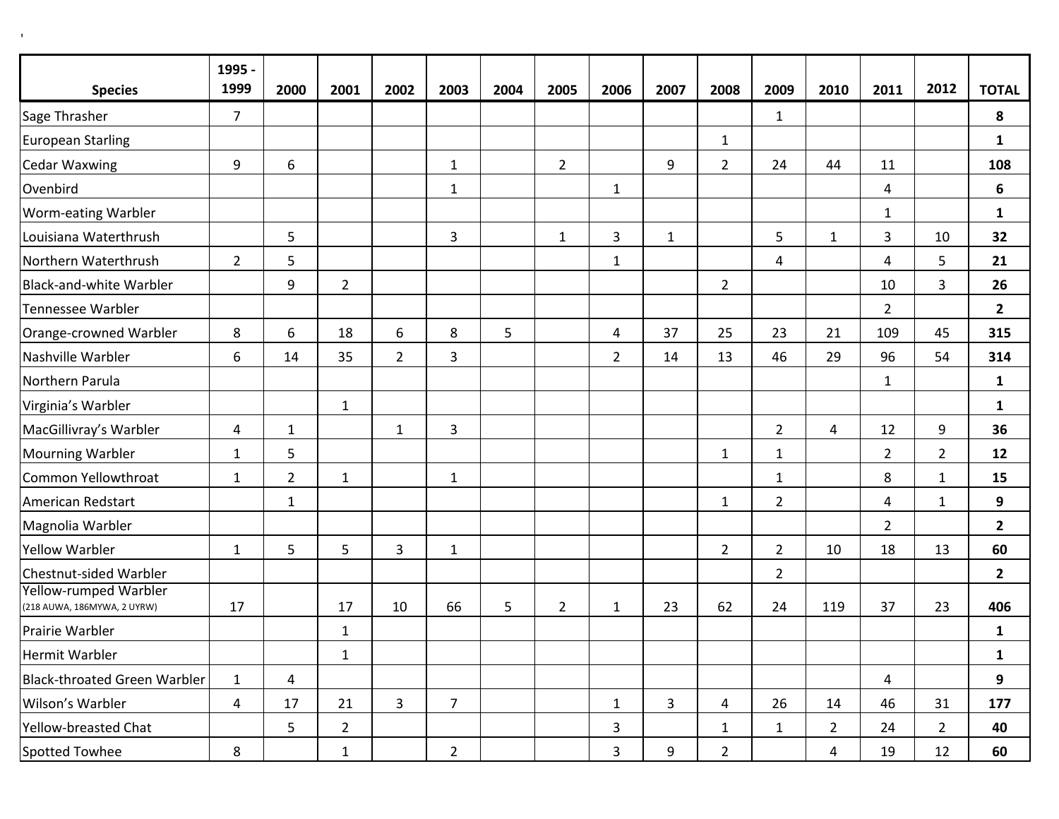$\mathbf{r}$ 

|                                                             | 1995 -         |                |                |                |                |      |                |                |              |                |                |                |                |                |                |
|-------------------------------------------------------------|----------------|----------------|----------------|----------------|----------------|------|----------------|----------------|--------------|----------------|----------------|----------------|----------------|----------------|----------------|
| <b>Species</b>                                              | 1999           | 2000           | 2001           | 2002           | 2003           | 2004 | 2005           | 2006           | 2007         | 2008           | 2009           | 2010           | 2011           | 2012           | <b>TOTAL</b>   |
| Sage Thrasher                                               | $\overline{7}$ |                |                |                |                |      |                |                |              |                | $\mathbf{1}$   |                |                |                | 8              |
| <b>European Starling</b>                                    |                |                |                |                |                |      |                |                |              | $\mathbf{1}$   |                |                |                |                | $\mathbf{1}$   |
| <b>Cedar Waxwing</b>                                        | 9              | 6              |                |                | $\mathbf{1}$   |      | $\overline{2}$ |                | 9            | $\overline{2}$ | 24             | 44             | 11             |                | 108            |
| Ovenbird                                                    |                |                |                |                | $\mathbf{1}$   |      |                | $\mathbf{1}$   |              |                |                |                | 4              |                | 6              |
| Worm-eating Warbler                                         |                |                |                |                |                |      |                |                |              |                |                |                | $\mathbf{1}$   |                | $\mathbf{1}$   |
| Louisiana Waterthrush                                       |                | 5              |                |                | 3              |      | $\mathbf{1}$   | 3              | $\mathbf{1}$ |                | 5              | $\mathbf{1}$   | 3              | 10             | 32             |
| Northern Waterthrush                                        | $\overline{2}$ | 5              |                |                |                |      |                | $\mathbf{1}$   |              |                | 4              |                | 4              | 5              | 21             |
| <b>Black-and-white Warbler</b>                              |                | 9              | $\overline{2}$ |                |                |      |                |                |              | $\overline{2}$ |                |                | 10             | 3              | 26             |
| <b>Tennessee Warbler</b>                                    |                |                |                |                |                |      |                |                |              |                |                |                | $\overline{2}$ |                | $\mathbf{2}$   |
| Orange-crowned Warbler                                      | 8              | 6              | 18             | 6              | 8              | 5    |                | $\overline{a}$ | 37           | 25             | 23             | 21             | 109            | 45             | 315            |
| Nashville Warbler                                           | 6              | 14             | 35             | $\overline{2}$ | 3              |      |                | $\overline{2}$ | 14           | 13             | 46             | 29             | 96             | 54             | 314            |
| Northern Parula                                             |                |                |                |                |                |      |                |                |              |                |                |                | $\mathbf{1}$   |                | $\mathbf{1}$   |
| Virginia's Warbler                                          |                |                | $\mathbf{1}$   |                |                |      |                |                |              |                |                |                |                |                | $\mathbf{1}$   |
| MacGillivray's Warbler                                      | $\overline{a}$ | $\mathbf{1}$   |                | $\mathbf{1}$   | 3              |      |                |                |              |                | $\overline{2}$ | 4              | 12             | 9              | 36             |
| <b>Mourning Warbler</b>                                     | $\mathbf{1}$   | 5              |                |                |                |      |                |                |              | $\mathbf{1}$   | $\mathbf{1}$   |                | $\overline{2}$ | $\overline{2}$ | 12             |
| Common Yellowthroat                                         | $\mathbf{1}$   | $\overline{2}$ | $\mathbf{1}$   |                | $\mathbf{1}$   |      |                |                |              |                | $\mathbf{1}$   |                | 8              | $\mathbf{1}$   | 15             |
| American Redstart                                           |                | $\mathbf{1}$   |                |                |                |      |                |                |              | $\mathbf{1}$   | $\overline{2}$ |                | 4              | $\mathbf{1}$   | 9              |
| Magnolia Warbler                                            |                |                |                |                |                |      |                |                |              |                |                |                | $\overline{2}$ |                | $\mathbf{2}$   |
| <b>Yellow Warbler</b>                                       | $\mathbf{1}$   | 5              | 5              | 3              | $\mathbf 1$    |      |                |                |              | $\overline{2}$ | $\overline{2}$ | 10             | 18             | 13             | 60             |
| Chestnut-sided Warbler                                      |                |                |                |                |                |      |                |                |              |                | $\overline{2}$ |                |                |                | $\overline{2}$ |
| <b>Yellow-rumped Warbler</b><br>(218 AUWA, 186MYWA, 2 UYRW) | 17             |                | 17             | 10             | 66             | 5    | $\overline{2}$ | $\mathbf{1}$   | 23           | 62             | 24             | 119            | 37             | 23             | 406            |
| Prairie Warbler                                             |                |                | $\mathbf{1}$   |                |                |      |                |                |              |                |                |                |                |                | $\mathbf{1}$   |
| Hermit Warbler                                              |                |                | $\mathbf{1}$   |                |                |      |                |                |              |                |                |                |                |                | $\mathbf{1}$   |
| <b>Black-throated Green Warbler</b>                         | $\mathbf{1}$   | $\overline{4}$ |                |                |                |      |                |                |              |                |                |                | 4              |                | 9              |
| Wilson's Warbler                                            | $\overline{4}$ | 17             | 21             | $\overline{3}$ | $\overline{7}$ |      |                | $\mathbf{1}$   | 3            | 4              | 26             | 14             | 46             | 31             | 177            |
| Yellow-breasted Chat                                        |                | 5              | $\overline{2}$ |                |                |      |                | 3              |              | $\mathbf{1}$   | $\mathbf{1}$   | $\overline{2}$ | 24             | $\overline{2}$ | 40             |
| <b>Spotted Towhee</b>                                       | 8              |                | $\mathbf{1}$   |                | $\overline{2}$ |      |                | 3              | 9            | $\overline{2}$ |                | 4              | 19             | 12             | 60             |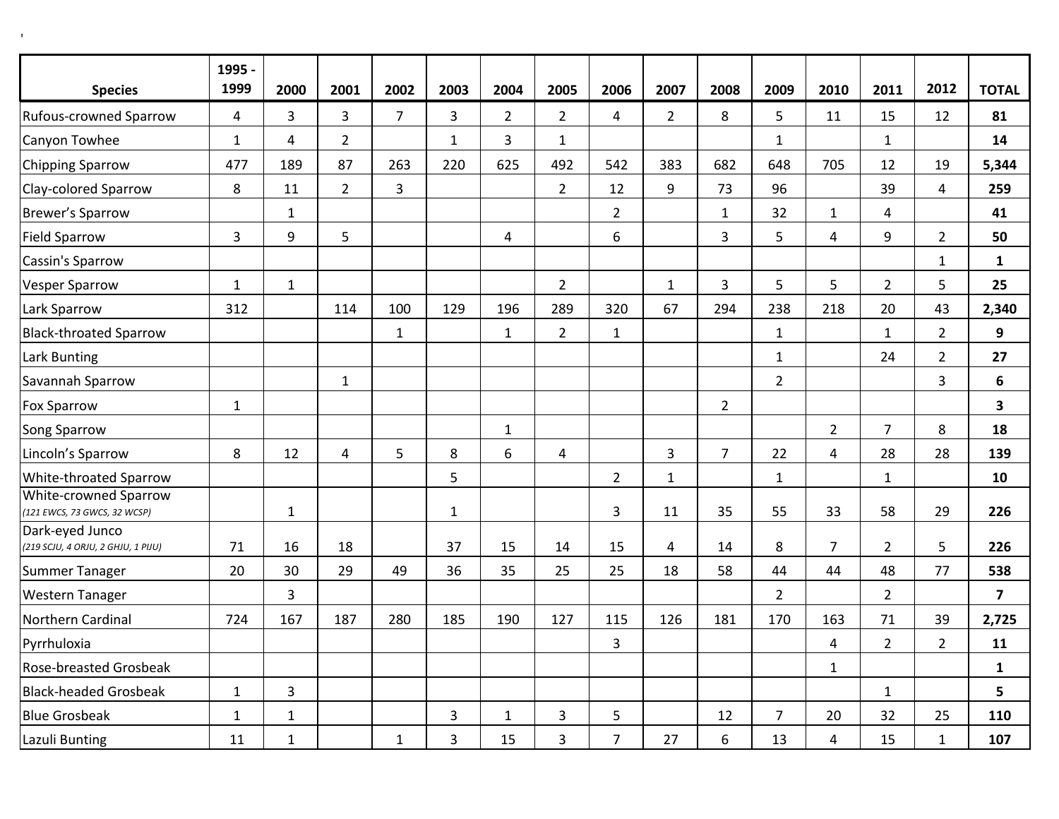| <b>Species</b>                                        | 1995 -<br>1999 | 2000                    | 2001           | 2002           | 2003           | 2004           | 2005           | 2006           | 2007           | 2008           | 2009           | 2010                    | 2011           | 2012           | <b>TOTAL</b>            |
|-------------------------------------------------------|----------------|-------------------------|----------------|----------------|----------------|----------------|----------------|----------------|----------------|----------------|----------------|-------------------------|----------------|----------------|-------------------------|
| <b>Rufous-crowned Sparrow</b>                         | $\overline{4}$ | $\overline{3}$          | $\overline{3}$ | $\overline{7}$ | $\overline{3}$ | $2^{\circ}$    | $\overline{2}$ | $\overline{4}$ | $2^{\circ}$    | 8              | 5              | 11                      | 15             | 12             | 81                      |
| Canyon Towhee                                         | $\mathbf 1$    | $\overline{\mathbf{4}}$ | $\overline{2}$ |                | $\mathbf{1}$   | $\overline{3}$ | $\mathbf{1}$   |                |                |                | $\mathbf{1}$   |                         | $\mathbf 1$    |                | 14                      |
| <b>Chipping Sparrow</b>                               | 477            | 189                     | 87             | 263            | 220            | 625            | 492            | 542            | 383            | 682            | 648            | 705                     | 12             | 19             | 5,344                   |
| Clay-colored Sparrow                                  | 8              | 11                      | $\overline{2}$ | $\overline{3}$ |                |                | $\overline{2}$ | 12             | 9              | 73             | 96             |                         | 39             | $\overline{4}$ | 259                     |
| <b>Brewer's Sparrow</b>                               |                | $\mathbf{1}$            |                |                |                |                |                | $\overline{2}$ |                | $\mathbf{1}$   | 32             | $\mathbf{1}$            | $\overline{4}$ |                | 41                      |
| <b>Field Sparrow</b>                                  | $\overline{3}$ | 9                       | 5              |                |                | 4              |                | 6              |                | $\overline{3}$ | 5              | $\overline{\mathbf{4}}$ | 9              | $2^{\circ}$    | 50                      |
| Cassin's Sparrow                                      |                |                         |                |                |                |                |                |                |                |                |                |                         |                | $\mathbf{1}$   | $\mathbf{1}$            |
| <b>Vesper Sparrow</b>                                 | $\mathbf{1}$   | $\mathbf 1$             |                |                |                |                | $\overline{2}$ |                | $\mathbf{1}$   | $\overline{3}$ | 5              | 5                       | $2^{\circ}$    | 5              | 25                      |
| Lark Sparrow                                          | 312            |                         | 114            | 100            | 129            | 196            | 289            | 320            | 67             | 294            | 238            | 218                     | 20             | 43             | 2,340                   |
| <b>Black-throated Sparrow</b>                         |                |                         |                | $\mathbf 1$    |                | $\mathbf{1}$   | $\overline{2}$ | $\mathbf 1$    |                |                | $\mathbf{1}$   |                         | $\mathbf{1}$   | $\overline{2}$ | 9                       |
| Lark Bunting                                          |                |                         |                |                |                |                |                |                |                |                | $\mathbf{1}$   |                         | 24             | $\overline{2}$ | 27                      |
| Savannah Sparrow                                      |                |                         | $\mathbf{1}$   |                |                |                |                |                |                |                | $\overline{2}$ |                         |                | $\overline{3}$ | 6                       |
| <b>Fox Sparrow</b>                                    | $\mathbf 1$    |                         |                |                |                |                |                |                |                | $\overline{2}$ |                |                         |                |                | $\overline{\mathbf{3}}$ |
| Song Sparrow                                          |                |                         |                |                |                | $\mathbf{1}$   |                |                |                |                |                | $\overline{2}$          | $\overline{7}$ | 8              | 18                      |
| Lincoln's Sparrow                                     | 8              | 12                      | $\overline{4}$ | 5              | 8              | 6              | $\overline{4}$ |                | $\overline{3}$ | $\overline{7}$ | 22             | $\overline{4}$          | 28             | 28             | 139                     |
| White-throated Sparrow                                |                |                         |                |                | 5              |                |                | $\overline{2}$ | $\mathbf{1}$   |                | $\mathbf{1}$   |                         | $\mathbf{1}$   |                | 10                      |
| White-crowned Sparrow<br>(121 EWCS, 73 GWCS, 32 WCSP) |                | $1\,$                   |                |                | $\mathbf{1}$   |                |                | 3              | $11\,$         | 35             | 55             | 33                      | 58             | 29             | 226                     |
| Dark-eyed Junco<br>(219 SCJU, 4 ORJU, 2 GHJU, 1 PIJU) | 71             | 16                      | 18             |                | 37             | 15             | 14             | 15             | 4              | 14             | 8              | $\overline{7}$          | $\overline{2}$ | 5              | 226                     |
| Summer Tanager                                        | 20             | 30                      | 29             | 49             | 36             | 35             | 25             | 25             | 18             | 58             | 44             | 44                      | 48             | 77             | 538                     |
| <b>Western Tanager</b>                                |                | 3                       |                |                |                |                |                |                |                |                | $\overline{2}$ |                         | $\overline{2}$ |                | $\overline{\mathbf{z}}$ |
| Northern Cardinal                                     | 724            | 167                     | 187            | 280            | 185            | 190            | 127            | 115            | 126            | 181            | 170            | 163                     | 71             | 39             | 2,725                   |
| Pyrrhuloxia                                           |                |                         |                |                |                |                |                | 3              |                |                |                | $\overline{4}$          | $2^{\circ}$    | $2^{\circ}$    | 11                      |
| <b>Rose-breasted Grosbeak</b>                         |                |                         |                |                |                |                |                |                |                |                |                | $\mathbf{1}$            |                |                | $\mathbf{1}$            |
| <b>Black-headed Grosbeak</b>                          | $\mathbf{1}$   | 3                       |                |                |                |                |                |                |                |                |                |                         | $\mathbf{1}$   |                | $5\phantom{a}$          |
| <b>Blue Grosbeak</b>                                  | $\mathbf 1$    | $\mathbf 1$             |                |                | 3              | $\mathbf{1}$   | 3              | 5              |                | 12             | $\overline{7}$ | 20                      | 32             | 25             | 110                     |
| Lazuli Bunting                                        | 11             | $\mathbf 1$             |                | $\mathbf{1}$   | 3              | 15             | 3              | $\overline{7}$ | 27             | 6              | 13             | $\overline{4}$          | 15             | $\mathbf{1}$   | 107                     |

'